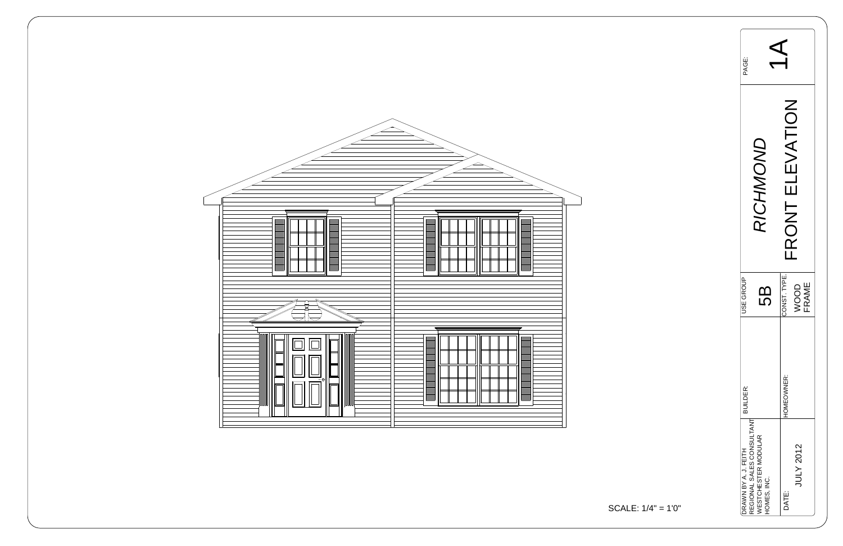

| PAGE:                |                                                                               |                                            |  |  |
|----------------------|-------------------------------------------------------------------------------|--------------------------------------------|--|--|
|                      | INO<br><b>NCHW</b>                                                            | <b>ATIC</b><br>RONT                        |  |  |
| <b>JSE GROUP</b>     | 5                                                                             | CONST. TYPE.<br><b>FRAME</b><br><b>JOC</b> |  |  |
| <b>BUILDER:</b>      |                                                                               | <b>HOMEOWNER:</b>                          |  |  |
| DRAWN BY A. J. FEITH | REGIONAL SALES CONSULTANT<br><b><i>NESTCHESTER MODULAR</i></b><br>HOMES, INC. | JULY 2012<br>DATE:                         |  |  |

$$
ALE: 1/4" = 1'0"
$$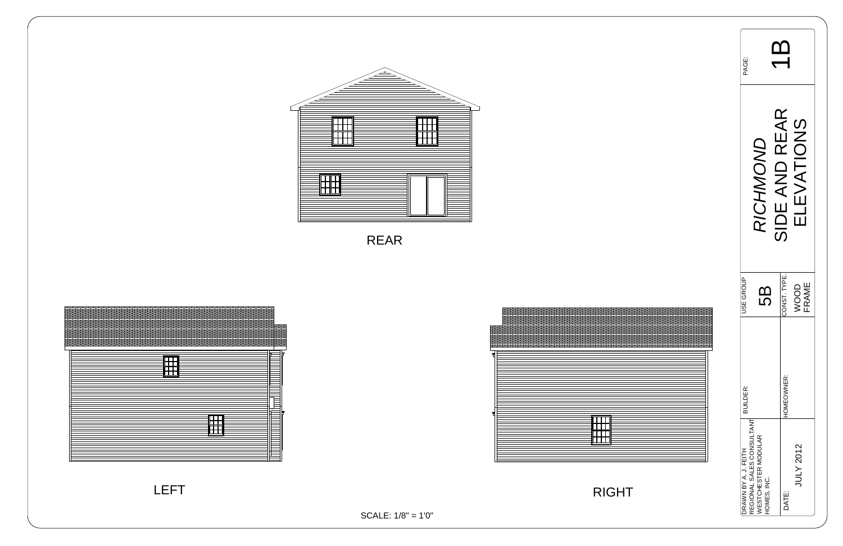| PAGE:                                             |                                                  |               |               |
|---------------------------------------------------|--------------------------------------------------|---------------|---------------|
|                                                   | RICHMOND                                         | SIDE AND REAR | ELEVATIONS    |
| <b>JSE GROUP</b>                                  | 89                                               | CONST. TYPE.  | FRAME<br>VOOD |
| BUILDER:                                          |                                                  | HOMEOWNER:    |               |
| REGIONAL SALES CONSULTANT<br>DRAWN BY A. J. FEITH | <b><i>NESTCHESTER MODULAR</i></b><br>HOMES, INC. | DATE:         | JULY 2012     |

LEFT



SCALE: 1/8" = 1'0"

RIGHT





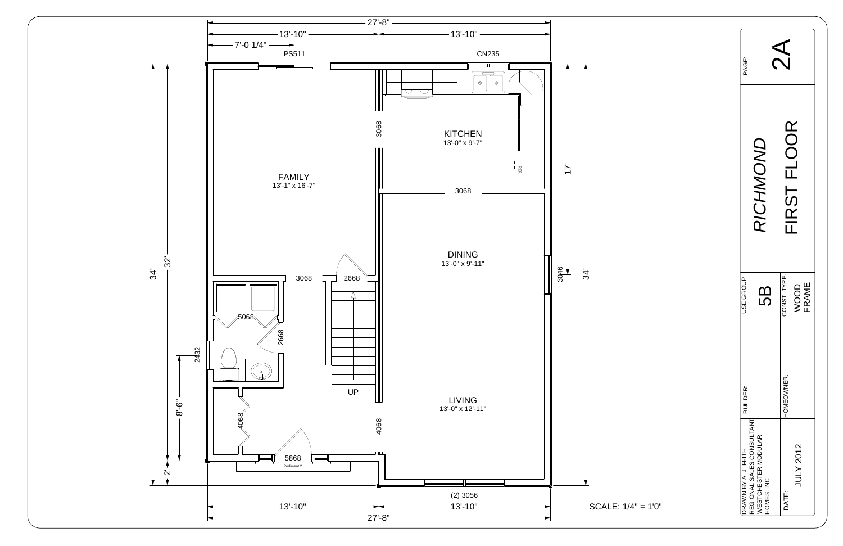

| PAGE:                                                                                                 |                               |  |  |  |  |
|-------------------------------------------------------------------------------------------------------|-------------------------------|--|--|--|--|
| <b>NOHWON</b>                                                                                         | FIRST FLOOR                   |  |  |  |  |
| <b>JSE GROUP</b><br>5                                                                                 | CONST. TYPE.<br>FRAME<br>NOOD |  |  |  |  |
| <b>BUILDER:</b>                                                                                       | HOMEOWNER:                    |  |  |  |  |
| REGIONAL SALES CONSULTANT<br><b><i>NESTCHESTER MODULAR</i></b><br>DRAWN BY A. J. FEITH<br>HOMES, INC. | JULY 2012<br>DATE:            |  |  |  |  |